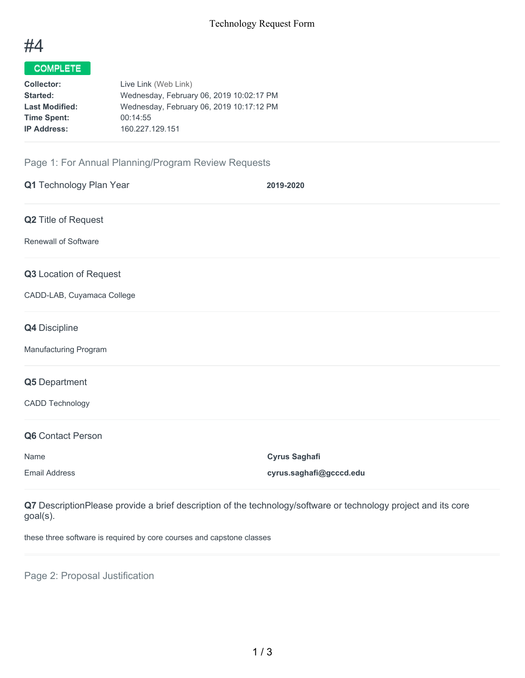

## COMPLETE

| <b>Collector:</b>     | Live Link (Web Link)                     |
|-----------------------|------------------------------------------|
| <b>Started:</b>       | Wednesday, February 06, 2019 10:02:17 PM |
| <b>Last Modified:</b> | Wednesday, February 06, 2019 10:17:12 PM |
| <b>Time Spent:</b>    | 00:14:55                                 |
| <b>IP Address:</b>    | 160.227.129.151                          |
|                       |                                          |

## Page 1: For Annual Planning/Program Review Requests

| Q1 Technology Plan Year     | 2019-2020               |
|-----------------------------|-------------------------|
| Q2 Title of Request         |                         |
| <b>Renewall of Software</b> |                         |
| Q3 Location of Request      |                         |
| CADD-LAB, Cuyamaca College  |                         |
| Q4 Discipline               |                         |
| Manufacturing Program       |                         |
| Q5 Department               |                         |
| <b>CADD Technology</b>      |                         |
| Q6 Contact Person           |                         |
| Name                        | <b>Cyrus Saghafi</b>    |
| <b>Email Address</b>        | cyrus.saghafi@gcccd.edu |

**Q7** DescriptionPlease provide a brief description of the technology/software or technology project and its core goal(s).

these three software is required by core courses and capstone classes

Page 2: Proposal Justification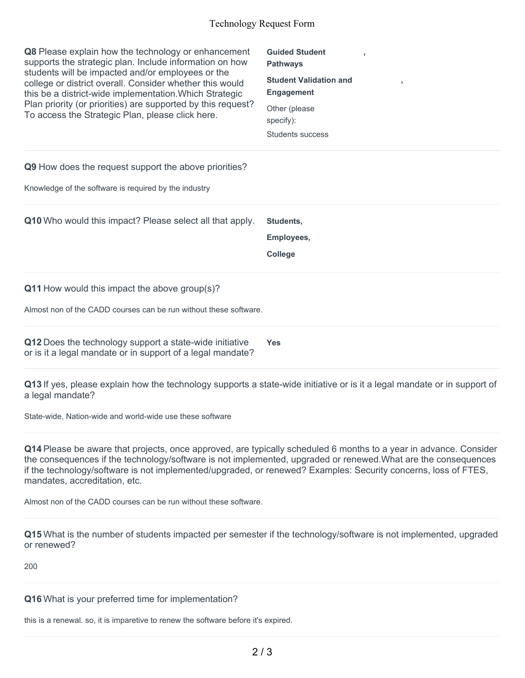## Technology Request Form

| <b>Q8</b> Please explain how the technology or enhancement<br>supports the strategic plan. Include information on how<br>students will be impacted and/or employees or the<br>college or district overall. Consider whether this would<br>this be a district-wide implementation. Which Strategic<br>Plan priority (or priorities) are supported by this request?<br>To access the Strategic Plan, please click here. | <b>Guided Student</b><br><b>Pathways</b><br><b>Student Validation and</b><br>$\overline{\phantom{a}}$<br><b>Engagement</b><br>Other (please<br>specify):<br>Students success |
|-----------------------------------------------------------------------------------------------------------------------------------------------------------------------------------------------------------------------------------------------------------------------------------------------------------------------------------------------------------------------------------------------------------------------|------------------------------------------------------------------------------------------------------------------------------------------------------------------------------|
| Q9 How does the request support the above priorities?                                                                                                                                                                                                                                                                                                                                                                 |                                                                                                                                                                              |
| Knowledge of the software is required by the industry                                                                                                                                                                                                                                                                                                                                                                 |                                                                                                                                                                              |
|                                                                                                                                                                                                                                                                                                                                                                                                                       |                                                                                                                                                                              |
| <b>Q10</b> Who would this impact? Please select all that apply.                                                                                                                                                                                                                                                                                                                                                       | Students,<br>Employees,<br>College                                                                                                                                           |
| $Q11$ How would this impact the above group(s)?                                                                                                                                                                                                                                                                                                                                                                       |                                                                                                                                                                              |
| Almost non of the CADD courses can be run without these software.                                                                                                                                                                                                                                                                                                                                                     |                                                                                                                                                                              |

**Q13** If yes, please explain how the technology supports a state-wide initiative or is it a legal mandate or in support of a legal mandate?

State-wide, Nation-wide and world-wide use these software

**Q14** Please be aware that projects, once approved, are typically scheduled 6 months to a year in advance. Consider the consequences if the technology/software is not implemented, upgraded or renewed.What are the consequences if the technology/software is not implemented/upgraded, or renewed? Examples: Security concerns, loss of FTES, mandates, accreditation, etc.

Almost non of the CADD courses can be run without these software.

**Q15** What is the number of students impacted per semester if the technology/software is not implemented, upgraded or renewed?

200

**Q16** What is your preferred time for implementation?

this is a renewal. so, it is imparetive to renew the software before it's expired.